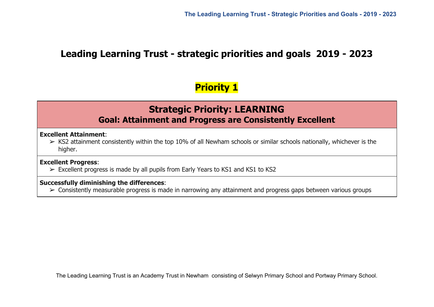# **Leading Learning Trust - strategic priorities and goals 2019 - 2023**

# **Priority 1**

# **Strategic Priority: LEARNING Goal: Attainment and Progress are Consistently Excellent**

**Excellent Attainment**:

 $\triangleright$  KS2 attainment consistently within the top 10% of all Newham schools or similar schools nationally, whichever is the higher.

## **Excellent Progress**:

 $\triangleright$  Excellent progress is made by all pupils from Early Years to KS1 and KS1 to KS2

## **Successfully diminishing the differences**:

➢ Consistently measurable progress is made in narrowing any attainment and progress gaps between various groups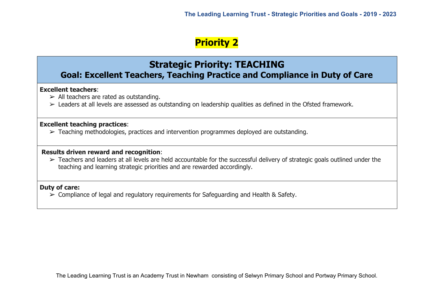# **Strategic Priority: TEACHING**

# **Goal: Excellent Teachers, Teaching Practice and Compliance in Duty of Care**

## **Excellent teachers**:

- $\triangleright$  All teachers are rated as outstanding.
- ➢ Leaders at all levels are assessed as outstanding on leadership qualities as defined in the Ofsted framework.

## **Excellent teaching practices**:

➢ Teaching methodologies, practices and intervention programmes deployed are outstanding.

### **Results driven reward and recognition**:

➢ Teachers and leaders at all levels are held accountable for the successful delivery of strategic goals outlined under the teaching and learning strategic priorities and are rewarded accordingly.

## **Duty of care:**

➢ Compliance of legal and regulatory requirements for Safeguarding and Health & Safety.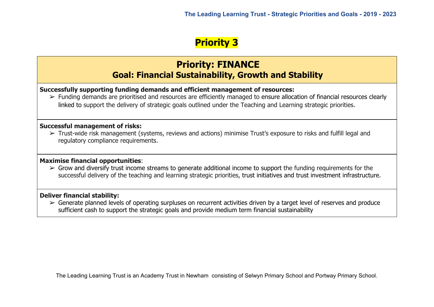# **Priority: FINANCE Goal: Financial Sustainability, Growth and Stability**

**Successfully supporting funding demands and efficient management of resources:**

➢ Funding demands are prioritised and resources are efficiently managed to ensure allocation of financial resources clearly linked to support the delivery of strategic goals outlined under the Teaching and Learning strategic priorities.

## **Successful management of risks:**

➢ Trust-wide risk management (systems, reviews and actions) minimise Trust's exposure to risks and fulfill legal and regulatory compliance requirements.

## **Maximise financial opportunities**:

 $\triangleright$  Grow and diversify trust income streams to generate additional income to support the funding requirements for the successful delivery of the teaching and learning strategic priorities, trust initiatives and trust investment infrastructure.

## **Deliver financial stability:**

 $\triangleright$  Generate planned levels of operating surpluses on recurrent activities driven by a target level of reserves and produce sufficient cash to support the strategic goals and provide medium term financial sustainability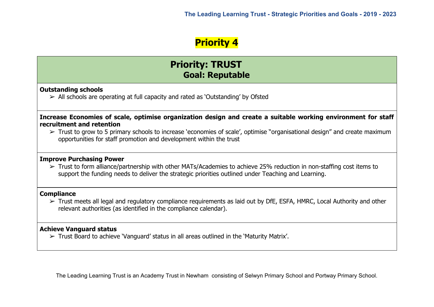# **Priority: TRUST Goal: Reputable**

### **Outstanding schools**

➢ All schools are operating at full capacity and rated as 'Outstanding' by Ofsted

**Increase Economies of scale, optimise organization design and create a suitable working environment for staff recruitment and retention**

 $\triangleright$  Trust to grow to 5 primary schools to increase 'economies of scale', optimise "organisational design" and create maximum opportunities for staff promotion and development within the trust

#### **Improve Purchasing Power**

 $\triangleright$  Trust to form alliance/partnership with other MATs/Academies to achieve 25% reduction in non-staffing cost items to support the funding needs to deliver the strategic priorities outlined under Teaching and Learning.

### **Compliance**

 $\triangleright$  Trust meets all legal and regulatory compliance requirements as laid out by DfE, ESFA, HMRC, Local Authority and other relevant authorities (as identified in the compliance calendar).

## **Achieve Vanguard status**

➢ Trust Board to achieve 'Vanguard' status in all areas outlined in the 'Maturity Matrix'.